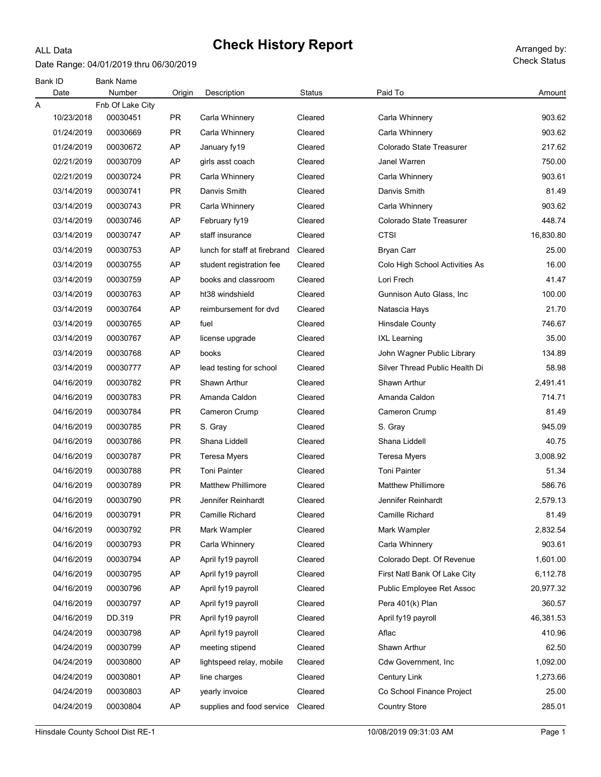#### Date Range: 04/01/2019 thru 06/30/2019

ALL Data

Check Status

| Bank ID    | <b>Bank Name</b> |           |                                                                                                            |         |                                                            |           |
|------------|------------------|-----------|------------------------------------------------------------------------------------------------------------|---------|------------------------------------------------------------|-----------|
| Date       | Number           | Origin    | Description                                                                                                | Status  | Paid To                                                    | Amount    |
| Α          | Fnb Of Lake City |           |                                                                                                            |         |                                                            |           |
| 10/23/2018 | 00030451         | PR        | Carla Whinnery                                                                                             | Cleared | Carla Whinnery                                             | 903.62    |
| 01/24/2019 | 00030669         | <b>PR</b> | Carla Whinnery                                                                                             | Cleared | Carla Whinnery                                             | 903.62    |
| 01/24/2019 | 00030672         | AP        | January fy19                                                                                               | Cleared | Colorado State Treasurer                                   | 217.62    |
| 02/21/2019 | 00030709         | AP        | girls asst coach                                                                                           | Cleared | Janel Warren                                               | 750.00    |
| 02/21/2019 | 00030724         | PR        | Carla Whinnery                                                                                             | Cleared | Carla Whinnery                                             | 903.61    |
| 03/14/2019 | 00030741         | PR        | Danvis Smith                                                                                               | Cleared | Danvis Smith                                               | 81.49     |
| 03/14/2019 | 00030743         | PR        | Carla Whinnery                                                                                             | Cleared | Carla Whinnery                                             | 903.62    |
| 03/14/2019 | 00030746         | AP        | February fy19                                                                                              | Cleared | Colorado State Treasurer                                   | 448.74    |
| 03/14/2019 | 00030747         | AP        | staff insurance                                                                                            | Cleared | <b>CTSI</b>                                                | 16,830.80 |
| 03/14/2019 | 00030753         | AP        | lunch for staff at firebrand                                                                               | Cleared | <b>Bryan Carr</b>                                          | 25.00     |
| 03/14/2019 | 00030755         | AP        | student registration fee                                                                                   | Cleared | Colo High School Activities As                             | 16.00     |
| 03/14/2019 | 00030759         | AP        | books and classroom                                                                                        | Cleared | Lori Frech                                                 | 41.47     |
| 03/14/2019 | 00030763         | AP        | ht38 windshield                                                                                            | Cleared | Gunnison Auto Glass, Inc.                                  | 100.00    |
| 03/14/2019 | 00030764         | AP        | reimbursement for dvd                                                                                      | Cleared | Natascia Hays                                              | 21.70     |
| 03/14/2019 | 00030765         | AP        | fuel                                                                                                       | Cleared | <b>Hinsdale County</b>                                     | 746.67    |
| 03/14/2019 | 00030767         | AP        | license upgrade                                                                                            | Cleared | <b>IXL Learning</b>                                        | 35.00     |
| 03/14/2019 | 00030768         | AP        | books                                                                                                      | Cleared | John Wagner Public Library                                 | 134.89    |
| 03/14/2019 | 00030777         | AP        | lead testing for school                                                                                    | Cleared | Silver Thread Public Health Di                             | 58.98     |
| 04/16/2019 | 00030782         | <b>PR</b> | Shawn Arthur                                                                                               | Cleared | <b>Shawn Arthur</b>                                        | 2,491.41  |
| 04/16/2019 | 00030783         | PR        | Amanda Caldon                                                                                              | Cleared | Amanda Caldon                                              | 714.71    |
| 04/16/2019 | 00030784         | PR        | Cameron Crump                                                                                              | Cleared | Cameron Crump                                              | 81.49     |
| 04/16/2019 | 00030785         | PR        | S. Gray                                                                                                    | Cleared | S. Gray                                                    | 945.09    |
| 04/16/2019 | 00030786         | <b>PR</b> | Shana Liddell                                                                                              | Cleared | Shana Liddell                                              | 40.75     |
| 04/16/2019 | 00030787         | PR        | Teresa Myers                                                                                               | Cleared | Teresa Myers                                               | 3,008.92  |
| 04/16/2019 | 00030788         | PR        | <b>Toni Painter</b>                                                                                        | Cleared | <b>Toni Painter</b>                                        | 51.34     |
| 04/16/2019 | 00030789         | PR        | <b>Matthew Phillimore</b>                                                                                  | Cleared | <b>Matthew Phillimore</b>                                  | 586.76    |
| 04/16/2019 | 00030790         | PR        | Jennifer Reinhardt                                                                                         | Cleared | Jennifer Reinhardt                                         | 2,579.13  |
| 04/16/2019 | 00030791         | <b>PR</b> | Camille Richard                                                                                            | Cleared | Camille Richard                                            | 81.49     |
| 04/16/2019 | 00030792         | <b>PR</b> | Mark Wampler                                                                                               | Cleared | Mark Wampler                                               | 2,832.54  |
| 04/16/2019 | 00030793         | <b>PR</b> | Carla Whinnery                                                                                             | Cleared | Carla Whinnery                                             | 903.61    |
| 04/16/2019 | 00030794         | AP        | April fy19 payroll                                                                                         | Cleared | Colorado Dept. Of Revenue                                  | 1,601.00  |
| 04/16/2019 | 00030795         | AP        | April fy19 payroll                                                                                         | Cleared | First Natl Bank Of Lake City                               | 6,112.78  |
| 04/16/2019 | 00030796         | AP        | April fy19 payroll                                                                                         | Cleared | Public Employee Ret Assoc                                  | 20,977.32 |
| 04/16/2019 | 00030797         | AP        | April fy19 payroll                                                                                         | Cleared | Pera 401(k) Plan                                           | 360.57    |
| 04/16/2019 | DD.319           | <b>PR</b> |                                                                                                            | Cleared |                                                            | 46,381.53 |
| 04/24/2019 | 00030798         | AP        |                                                                                                            | Cleared | Aflac                                                      | 410.96    |
| 04/24/2019 | 00030799         | AP        |                                                                                                            | Cleared | Shawn Arthur                                               | 62.50     |
| 04/24/2019 | 00030800         | AP        | lightspeed relay, mobile                                                                                   | Cleared | <b>Cdw Government, Inc</b>                                 | 1,092.00  |
| 04/24/2019 | 00030801         | AP        | line charges                                                                                               | Cleared |                                                            | 1,273.66  |
| 04/24/2019 | 00030803         | AP        |                                                                                                            | Cleared | Co School Finance Project                                  | 25.00     |
|            |                  |           |                                                                                                            |         |                                                            | 285.01    |
| 04/24/2019 | 00030804         | AP        | April fy19 payroll<br>April fy19 payroll<br>meeting stipend<br>yearly invoice<br>supplies and food service | Cleared | April fy19 payroll<br>Century Link<br><b>Country Store</b> |           |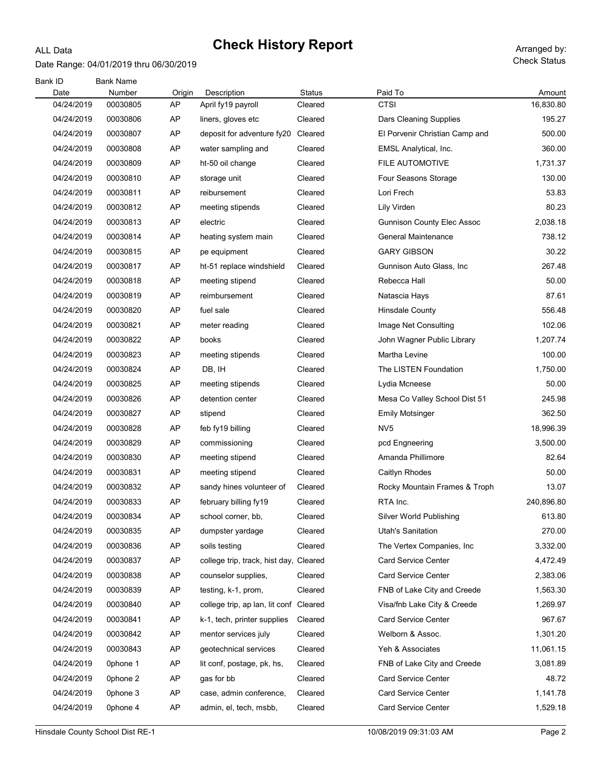### Date Range: 04/01/2019 thru 06/30/2019

ALL Data

Check Status

| Bank ID<br>Date | <b>Bank Name</b><br>Number | Origin | Description                            | <b>Status</b> | Paid To                           | Amount     |
|-----------------|----------------------------|--------|----------------------------------------|---------------|-----------------------------------|------------|
| 04/24/2019      | 00030805                   | AP     | April fy19 payroll                     | Cleared       | <b>CTSI</b>                       | 16,830.80  |
| 04/24/2019      | 00030806                   | AP     | liners, gloves etc                     | Cleared       | <b>Dars Cleaning Supplies</b>     | 195.27     |
| 04/24/2019      | 00030807                   | AP     | deposit for adventure fy20             | Cleared       | El Porvenir Christian Camp and    | 500.00     |
| 04/24/2019      | 00030808                   | AP     | water sampling and                     | Cleared       | EMSL Analytical, Inc.             | 360.00     |
| 04/24/2019      | 00030809                   | AP     | ht-50 oil change                       | Cleared       | FILE AUTOMOTIVE                   | 1,731.37   |
| 04/24/2019      | 00030810                   | AP     | storage unit                           | Cleared       | Four Seasons Storage              | 130.00     |
| 04/24/2019      | 00030811                   | AP     | reibursement                           | Cleared       | Lori Frech                        | 53.83      |
| 04/24/2019      | 00030812                   | AP     | meeting stipends                       | Cleared       | Lily Virden                       | 80.23      |
| 04/24/2019      | 00030813                   | AP     | electric                               | Cleared       | <b>Gunnison County Elec Assoc</b> | 2,038.18   |
| 04/24/2019      | 00030814                   | AP     | heating system main                    | Cleared       | <b>General Maintenance</b>        | 738.12     |
| 04/24/2019      | 00030815                   | AP     | pe equipment                           | Cleared       | <b>GARY GIBSON</b>                | 30.22      |
| 04/24/2019      | 00030817                   | AP     | ht-51 replace windshield               | Cleared       | Gunnison Auto Glass, Inc.         | 267.48     |
| 04/24/2019      | 00030818                   | AP     | meeting stipend                        | Cleared       | Rebecca Hall                      | 50.00      |
| 04/24/2019      | 00030819                   | AP     | reimbursement                          | Cleared       | Natascia Hays                     | 87.61      |
| 04/24/2019      | 00030820                   | AP     | fuel sale                              | Cleared       | <b>Hinsdale County</b>            | 556.48     |
| 04/24/2019      | 00030821                   | AP     | meter reading                          | Cleared       | Image Net Consulting              | 102.06     |
| 04/24/2019      | 00030822                   | AP     | books                                  | Cleared       | John Wagner Public Library        | 1,207.74   |
| 04/24/2019      | 00030823                   | AP     | meeting stipends                       | Cleared       | Martha Levine                     | 100.00     |
| 04/24/2019      | 00030824                   | AP     | DB, IH                                 | Cleared       | The LISTEN Foundation             | 1,750.00   |
| 04/24/2019      | 00030825                   | AP     | meeting stipends                       | Cleared       | Lydia Mcneese                     | 50.00      |
| 04/24/2019      | 00030826                   | AP     | detention center                       | Cleared       | Mesa Co Valley School Dist 51     | 245.98     |
| 04/24/2019      | 00030827                   | AP     | stipend                                | Cleared       | <b>Emily Motsinger</b>            | 362.50     |
| 04/24/2019      | 00030828                   | AP     | feb fy19 billing                       | Cleared       | NV <sub>5</sub>                   | 18,996.39  |
| 04/24/2019      | 00030829                   | AP     | commissioning                          | Cleared       | pcd Engneering                    | 3,500.00   |
| 04/24/2019      | 00030830                   | AP     | meeting stipend                        | Cleared       | Amanda Phillimore                 | 82.64      |
| 04/24/2019      | 00030831                   | AP     | meeting stipend                        | Cleared       | Caitlyn Rhodes                    | 50.00      |
| 04/24/2019      | 00030832                   | AP     | sandy hines volunteer of               | Cleared       | Rocky Mountain Frames & Troph     | 13.07      |
| 04/24/2019      | 00030833                   | AP     | february billing fy19                  | Cleared       | RTA Inc.                          | 240,896.80 |
| 04/24/2019      | 00030834                   | AP     | school corner, bb,                     | Cleared       | Silver World Publishing           | 613.80     |
| 04/24/2019      | 00030835                   | AP     | dumpster yardage                       | Cleared       | Utah's Sanitation                 | 270.00     |
| 04/24/2019      | 00030836                   | AP     | soils testing                          | Cleared       | The Vertex Companies, Inc.        | 3,332.00   |
| 04/24/2019      | 00030837                   | AP     | college trip, track, hist day, Cleared |               | <b>Card Service Center</b>        | 4,472.49   |
| 04/24/2019      | 00030838                   | AP     | counselor supplies.                    | Cleared       | <b>Card Service Center</b>        | 2,383.06   |
| 04/24/2019      | 00030839                   | AP     | testing, k-1, prom,                    | Cleared       | FNB of Lake City and Creede       | 1,563.30   |
| 04/24/2019      | 00030840                   | AP     | college trip, ap lan, lit conf Cleared |               | Visa/fnb Lake City & Creede       | 1,269.97   |
| 04/24/2019      | 00030841                   | AP     | k-1, tech, printer supplies            | Cleared       | <b>Card Service Center</b>        | 967.67     |
| 04/24/2019      | 00030842                   | AP     | mentor services july                   | Cleared       | Welborn & Assoc.                  | 1,301.20   |
| 04/24/2019      | 00030843                   | AP     | geotechnical services                  | Cleared       | Yeh & Associates                  | 11,061.15  |
| 04/24/2019      | Ophone 1                   | AP     | lit conf, postage, pk, hs,             | Cleared       | FNB of Lake City and Creede       | 3,081.89   |
| 04/24/2019      | Ophone 2                   | AP     | gas for bb                             | Cleared       | <b>Card Service Center</b>        | 48.72      |
| 04/24/2019      | Ophone 3                   | AP     | case, admin conference,                | Cleared       | <b>Card Service Center</b>        | 1,141.78   |
| 04/24/2019      | Ophone 4                   | AP     | admin, el, tech, msbb,                 | Cleared       | <b>Card Service Center</b>        | 1,529.18   |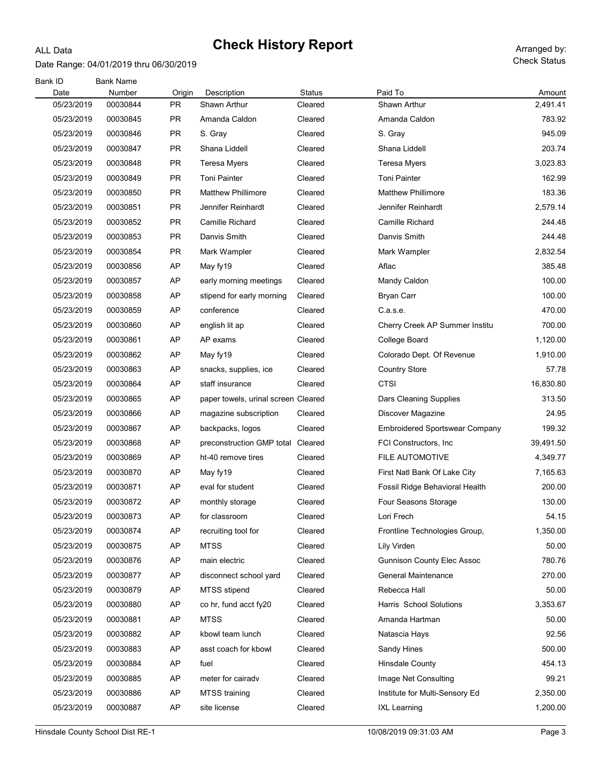#### Date Range: 04/01/2019 thru 06/30/2019

ALL Data

Check Status

| Bank ID    | <b>Bank Name</b> |           |                                     |               |                                       |           |
|------------|------------------|-----------|-------------------------------------|---------------|---------------------------------------|-----------|
| Date       | Number           | Origin    | Description                         | <b>Status</b> | Paid To                               | Amount    |
| 05/23/2019 | 00030844         | <b>PR</b> | Shawn Arthur                        | Cleared       | Shawn Arthur                          | 2,491.41  |
| 05/23/2019 | 00030845         | PR        | Amanda Caldon                       | Cleared       | Amanda Caldon                         | 783.92    |
| 05/23/2019 | 00030846         | <b>PR</b> | S. Gray                             | Cleared       | S. Gray                               | 945.09    |
| 05/23/2019 | 00030847         | <b>PR</b> | Shana Liddell                       | Cleared       | Shana Liddell                         | 203.74    |
| 05/23/2019 | 00030848         | <b>PR</b> | Teresa Myers                        | Cleared       | Teresa Myers                          | 3,023.83  |
| 05/23/2019 | 00030849         | PR        | <b>Toni Painter</b>                 | Cleared       | <b>Toni Painter</b>                   | 162.99    |
| 05/23/2019 | 00030850         | PR        | <b>Matthew Phillimore</b>           | Cleared       | <b>Matthew Phillimore</b>             | 183.36    |
| 05/23/2019 | 00030851         | PR        | Jennifer Reinhardt                  | Cleared       | Jennifer Reinhardt                    | 2,579.14  |
| 05/23/2019 | 00030852         | PR        | Camille Richard                     | Cleared       | Camille Richard                       | 244.48    |
| 05/23/2019 | 00030853         | PR        | Danvis Smith                        | Cleared       | Danvis Smith                          | 244.48    |
| 05/23/2019 | 00030854         | PR        | Mark Wampler                        | Cleared       | Mark Wampler                          | 2,832.54  |
| 05/23/2019 | 00030856         | AP        | May fy19                            | Cleared       | Aflac                                 | 385.48    |
| 05/23/2019 | 00030857         | AP        | early morning meetings              | Cleared       | Mandy Caldon                          | 100.00    |
| 05/23/2019 | 00030858         | AP        | stipend for early morning           | Cleared       | <b>Bryan Carr</b>                     | 100.00    |
| 05/23/2019 | 00030859         | AP        | conference                          | Cleared       | C.a.s.e.                              | 470.00    |
| 05/23/2019 | 00030860         | AP        | english lit ap                      | Cleared       | Cherry Creek AP Summer Institu        | 700.00    |
| 05/23/2019 | 00030861         | AP        | AP exams                            | Cleared       | College Board                         | 1,120.00  |
| 05/23/2019 | 00030862         | AP        | May fy19                            | Cleared       | Colorado Dept. Of Revenue             | 1,910.00  |
| 05/23/2019 | 00030863         | AP        | snacks, supplies, ice               | Cleared       | <b>Country Store</b>                  | 57.78     |
| 05/23/2019 | 00030864         | AP        | staff insurance                     | Cleared       | <b>CTSI</b>                           | 16,830.80 |
| 05/23/2019 | 00030865         | AP        | paper towels, urinal screen Cleared |               | Dars Cleaning Supplies                | 313.50    |
| 05/23/2019 | 00030866         | AP        | magazine subscription               | Cleared       | Discover Magazine                     | 24.95     |
| 05/23/2019 | 00030867         | AP        | backpacks, logos                    | Cleared       | <b>Embroidered Sportswear Company</b> | 199.32    |
| 05/23/2019 | 00030868         | AP        | preconstruction GMP total           | Cleared       | FCI Constructors, Inc.                | 39,491.50 |
| 05/23/2019 | 00030869         | AP        | ht-40 remove tires                  | Cleared       | <b>FILE AUTOMOTIVE</b>                | 4,349.77  |
| 05/23/2019 | 00030870         | AP        | May fy19                            | Cleared       | First Natl Bank Of Lake City          | 7,165.63  |
| 05/23/2019 | 00030871         | AP        | eval for student                    | Cleared       | Fossil Ridge Behavioral Health        | 200.00    |
| 05/23/2019 | 00030872         | AP        | monthly storage                     | Cleared       | Four Seasons Storage                  | 130.00    |
| 05/23/2019 | 00030873         | AP        | for classroom                       | Cleared       | Lori Frech                            | 54.15     |
| 05/23/2019 | 00030874         | AP        | recruiting tool for                 | Cleared       | Frontline Technologies Group,         | 1,350.00  |
| 05/23/2019 | 00030875         | AP        | <b>MTSS</b>                         | Cleared       | Lily Virden                           | 50.00     |
| 05/23/2019 | 00030876         | AP        | main electric                       | Cleared       | <b>Gunnison County Elec Assoc</b>     | 780.76    |
| 05/23/2019 | 00030877         | AP        | disconnect school yard              | Cleared       | <b>General Maintenance</b>            | 270.00    |
| 05/23/2019 | 00030879         | AP        | MTSS stipend                        | Cleared       | Rebecca Hall                          | 50.00     |
| 05/23/2019 | 00030880         | AP        | co hr, fund acct fy20               | Cleared       | Harris School Solutions               | 3,353.67  |
| 05/23/2019 | 00030881         | AP        | <b>MTSS</b>                         | Cleared       | Amanda Hartman                        | 50.00     |
| 05/23/2019 | 00030882         | AP        | kbowl team lunch                    | Cleared       | Natascia Hays                         | 92.56     |
| 05/23/2019 | 00030883         | AP        | asst coach for kbowl                | Cleared       | Sandy Hines                           | 500.00    |
| 05/23/2019 | 00030884         | AP        | fuel                                | Cleared       | <b>Hinsdale County</b>                | 454.13    |
| 05/23/2019 | 00030885         | AP        | meter for cairadv                   | Cleared       | Image Net Consulting                  | 99.21     |
| 05/23/2019 | 00030886         | AP        | <b>MTSS</b> training                | Cleared       | Institute for Multi-Sensory Ed        | 2,350.00  |
| 05/23/2019 | 00030887         | AP        | site license                        | Cleared       | <b>IXL Learning</b>                   | 1,200.00  |
|            |                  |           |                                     |               |                                       |           |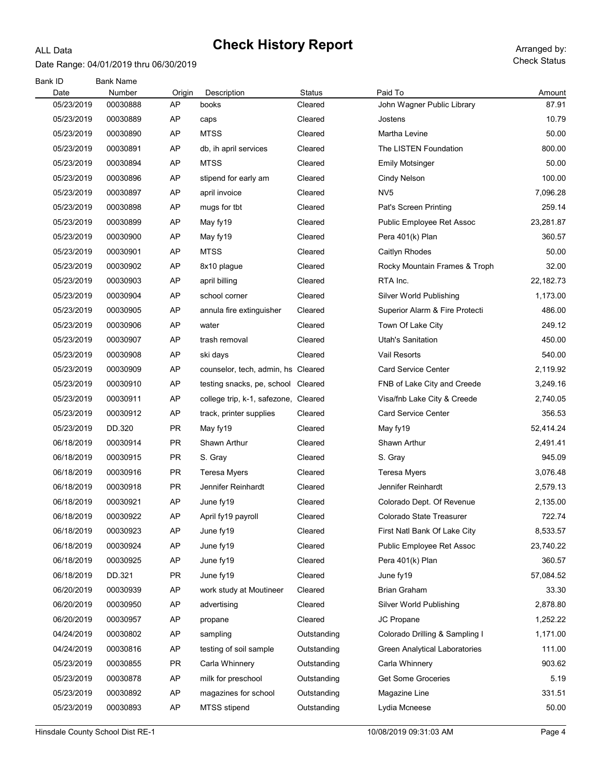### Date Range: 04/01/2019 thru 06/30/2019

ALL Data

| Bank ID<br>Date | <b>Bank Name</b><br>Number | Origin    | Description                          | Status      | Paid To                        | Amount    |
|-----------------|----------------------------|-----------|--------------------------------------|-------------|--------------------------------|-----------|
| 05/23/2019      | 00030888                   | AP        | books                                | Cleared     | John Wagner Public Library     | 87.91     |
| 05/23/2019      | 00030889                   | AP        | caps                                 | Cleared     | Jostens                        | 10.79     |
| 05/23/2019      | 00030890                   | AP        | <b>MTSS</b>                          | Cleared     | Martha Levine                  | 50.00     |
| 05/23/2019      | 00030891                   | AP        | db, ih april services                | Cleared     | The LISTEN Foundation          | 800.00    |
| 05/23/2019      | 00030894                   | AP        | <b>MTSS</b>                          | Cleared     | <b>Emily Motsinger</b>         | 50.00     |
| 05/23/2019      | 00030896                   | AP        | stipend for early am                 | Cleared     | Cindy Nelson                   | 100.00    |
| 05/23/2019      | 00030897                   | AP        | april invoice                        | Cleared     | NV <sub>5</sub>                | 7,096.28  |
| 05/23/2019      | 00030898                   | AP        | mugs for tbt                         | Cleared     | Pat's Screen Printing          | 259.14    |
| 05/23/2019      | 00030899                   | AP        | May fy19                             | Cleared     | Public Employee Ret Assoc      | 23,281.87 |
| 05/23/2019      | 00030900                   | AP        | May fy19                             | Cleared     | Pera 401(k) Plan               | 360.57    |
| 05/23/2019      | 00030901                   | AP        | <b>MTSS</b>                          | Cleared     | Caitlyn Rhodes                 | 50.00     |
| 05/23/2019      | 00030902                   | AP        | 8x10 plague                          | Cleared     | Rocky Mountain Frames & Troph  | 32.00     |
| 05/23/2019      | 00030903                   | AP        | april billing                        | Cleared     | RTA Inc.                       | 22,182.73 |
| 05/23/2019      | 00030904                   | AP        | school corner                        | Cleared     | Silver World Publishing        | 1,173.00  |
| 05/23/2019      | 00030905                   | AP        | annula fire extinguisher             | Cleared     | Superior Alarm & Fire Protecti | 486.00    |
| 05/23/2019      | 00030906                   | AP        | water                                | Cleared     | Town Of Lake City              | 249.12    |
| 05/23/2019      | 00030907                   | AP        | trash removal                        | Cleared     | <b>Utah's Sanitation</b>       | 450.00    |
| 05/23/2019      | 00030908                   | AP        | ski days                             | Cleared     | Vail Resorts                   | 540.00    |
| 05/23/2019      | 00030909                   | AP        | counselor, tech, admin, hs Cleared   |             | <b>Card Service Center</b>     | 2,119.92  |
| 05/23/2019      | 00030910                   | AP        | testing snacks, pe, school Cleared   |             | FNB of Lake City and Creede    | 3,249.16  |
| 05/23/2019      | 00030911                   | AP        | college trip, k-1, safezone, Cleared |             | Visa/fnb Lake City & Creede    | 2,740.05  |
| 05/23/2019      | 00030912                   | AP        | track, printer supplies              | Cleared     | <b>Card Service Center</b>     | 356.53    |
| 05/23/2019      | DD.320                     | <b>PR</b> | May fy19                             | Cleared     | May fy19                       | 52,414.24 |
| 06/18/2019      | 00030914                   | <b>PR</b> | Shawn Arthur                         | Cleared     | Shawn Arthur                   | 2,491.41  |
| 06/18/2019      | 00030915                   | <b>PR</b> | S. Gray                              | Cleared     | S. Gray                        | 945.09    |
| 06/18/2019      | 00030916                   | <b>PR</b> | Teresa Myers                         | Cleared     | <b>Teresa Myers</b>            | 3,076.48  |
| 06/18/2019      | 00030918                   | <b>PR</b> | Jennifer Reinhardt                   | Cleared     | Jennifer Reinhardt             | 2,579.13  |
| 06/18/2019      | 00030921                   | AP        | June fy19                            | Cleared     | Colorado Dept. Of Revenue      | 2,135.00  |
| 06/18/2019      | 00030922                   | <b>AP</b> | April fy19 payroll                   | Cleared     | Colorado State Treasurer       | 722.74    |
| 06/18/2019      | 00030923                   | AP        | June fy19                            | Cleared     | First Natl Bank Of Lake City   | 8,533.57  |
| 06/18/2019      | 00030924                   | AP        | June fy19                            | Cleared     | Public Employee Ret Assoc      | 23,740.22 |
| 06/18/2019      | 00030925                   | AP        | June fy19                            | Cleared     | Pera 401(k) Plan               | 360.57    |
| 06/18/2019      | DD.321                     | <b>PR</b> | June fy19                            | Cleared     | June fy19                      | 57,084.52 |
| 06/20/2019      | 00030939                   | AP        | work study at Moutineer              | Cleared     | <b>Brian Graham</b>            | 33.30     |
| 06/20/2019      | 00030950                   | AP        | advertising                          | Cleared     | Silver World Publishing        | 2,878.80  |
| 06/20/2019      | 00030957                   | AP        | propane                              | Cleared     | JC Propane                     | 1,252.22  |
| 04/24/2019      | 00030802                   | AP        | sampling                             | Outstanding | Colorado Drilling & Sampling I | 1,171.00  |
| 04/24/2019      | 00030816                   | AP        | testing of soil sample               | Outstanding | Green Analytical Laboratories  | 111.00    |
| 05/23/2019      | 00030855                   | <b>PR</b> | Carla Whinnery                       | Outstanding | Carla Whinnery                 | 903.62    |
| 05/23/2019      | 00030878                   | AP        | milk for preschool                   | Outstanding | <b>Get Some Groceries</b>      | 5.19      |
| 05/23/2019      | 00030892                   | AP        | magazines for school                 | Outstanding | Magazine Line                  | 331.51    |
| 05/23/2019      | 00030893                   | AP        | MTSS stipend                         | Outstanding | Lydia Mcneese                  | 50.00     |